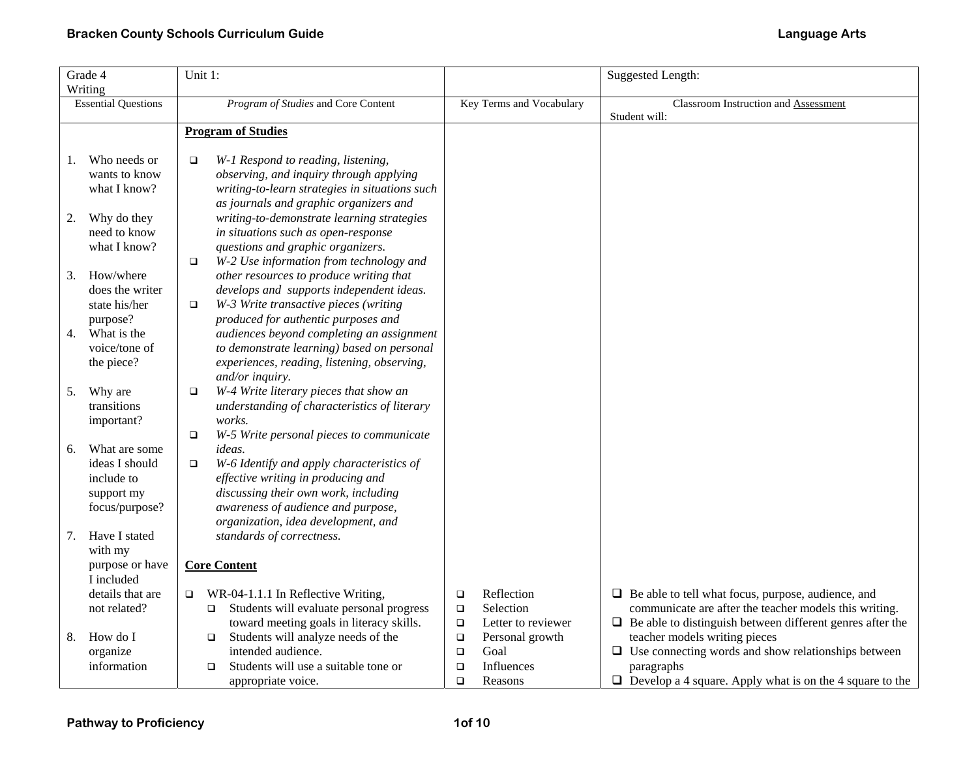|    | Grade 4                    | Unit 1:                                                |        |                          | Suggested Length:                                                |
|----|----------------------------|--------------------------------------------------------|--------|--------------------------|------------------------------------------------------------------|
|    | Writing                    |                                                        |        |                          |                                                                  |
|    | <b>Essential Questions</b> | Program of Studies and Core Content                    |        | Key Terms and Vocabulary | Classroom Instruction and Assessment                             |
|    |                            |                                                        |        |                          | Student will:                                                    |
|    |                            | <b>Program of Studies</b>                              |        |                          |                                                                  |
|    |                            |                                                        |        |                          |                                                                  |
| 1. | Who needs or               | W-1 Respond to reading, listening,<br>$\Box$           |        |                          |                                                                  |
|    | wants to know              | observing, and inquiry through applying                |        |                          |                                                                  |
|    | what I know?               | writing-to-learn strategies in situations such         |        |                          |                                                                  |
|    |                            | as journals and graphic organizers and                 |        |                          |                                                                  |
| 2. | Why do they                | writing-to-demonstrate learning strategies             |        |                          |                                                                  |
|    | need to know               | in situations such as open-response                    |        |                          |                                                                  |
|    | what I know?               | questions and graphic organizers.                      |        |                          |                                                                  |
|    |                            | W-2 Use information from technology and<br>$\Box$      |        |                          |                                                                  |
| 3. | How/where                  | other resources to produce writing that                |        |                          |                                                                  |
|    | does the writer            | develops and supports independent ideas.               |        |                          |                                                                  |
|    | state his/her              | W-3 Write transactive pieces (writing<br>$\Box$        |        |                          |                                                                  |
|    | purpose?                   | produced for authentic purposes and                    |        |                          |                                                                  |
| 4. | What is the                | audiences beyond completing an assignment              |        |                          |                                                                  |
|    | voice/tone of              | to demonstrate learning) based on personal             |        |                          |                                                                  |
|    | the piece?                 | experiences, reading, listening, observing,            |        |                          |                                                                  |
|    |                            | and/or inquiry.                                        |        |                          |                                                                  |
| 5. | Why are                    | W-4 Write literary pieces that show an<br>$\Box$       |        |                          |                                                                  |
|    | transitions                | understanding of characteristics of literary<br>works. |        |                          |                                                                  |
|    | important?                 | W-5 Write personal pieces to communicate<br>$\Box$     |        |                          |                                                                  |
| 6. | What are some              | <i>ideas.</i>                                          |        |                          |                                                                  |
|    | ideas I should             | W-6 Identify and apply characteristics of<br>$\Box$    |        |                          |                                                                  |
|    | include to                 | effective writing in producing and                     |        |                          |                                                                  |
|    | support my                 | discussing their own work, including                   |        |                          |                                                                  |
|    | focus/purpose?             | awareness of audience and purpose,                     |        |                          |                                                                  |
|    |                            | organization, idea development, and                    |        |                          |                                                                  |
| 7. | Have I stated              | standards of correctness.                              |        |                          |                                                                  |
|    | with my                    |                                                        |        |                          |                                                                  |
|    | purpose or have            | <b>Core Content</b>                                    |        |                          |                                                                  |
|    | I included                 |                                                        |        |                          |                                                                  |
|    | details that are           | WR-04-1.1.1 In Reflective Writing,<br>$\Box$           | $\Box$ | Reflection               | $\Box$ Be able to tell what focus, purpose, audience, and        |
|    | not related?               | Students will evaluate personal progress<br>$\Box$     | $\Box$ | Selection                | communicate are after the teacher models this writing.           |
|    |                            | toward meeting goals in literacy skills.               | $\Box$ | Letter to reviewer       | $\Box$ Be able to distinguish between different genres after the |
| 8. | How do I                   | Students will analyze needs of the<br>$\Box$           | $\Box$ | Personal growth          | teacher models writing pieces                                    |
|    | organize                   | intended audience.                                     | $\Box$ | Goal                     | $\Box$ Use connecting words and show relationships between       |
|    | information                | Students will use a suitable tone or<br>□              | $\Box$ | Influences               | paragraphs                                                       |
|    |                            | appropriate voice.                                     | $\Box$ | Reasons                  | $\Box$ Develop a 4 square. Apply what is on the 4 square to the  |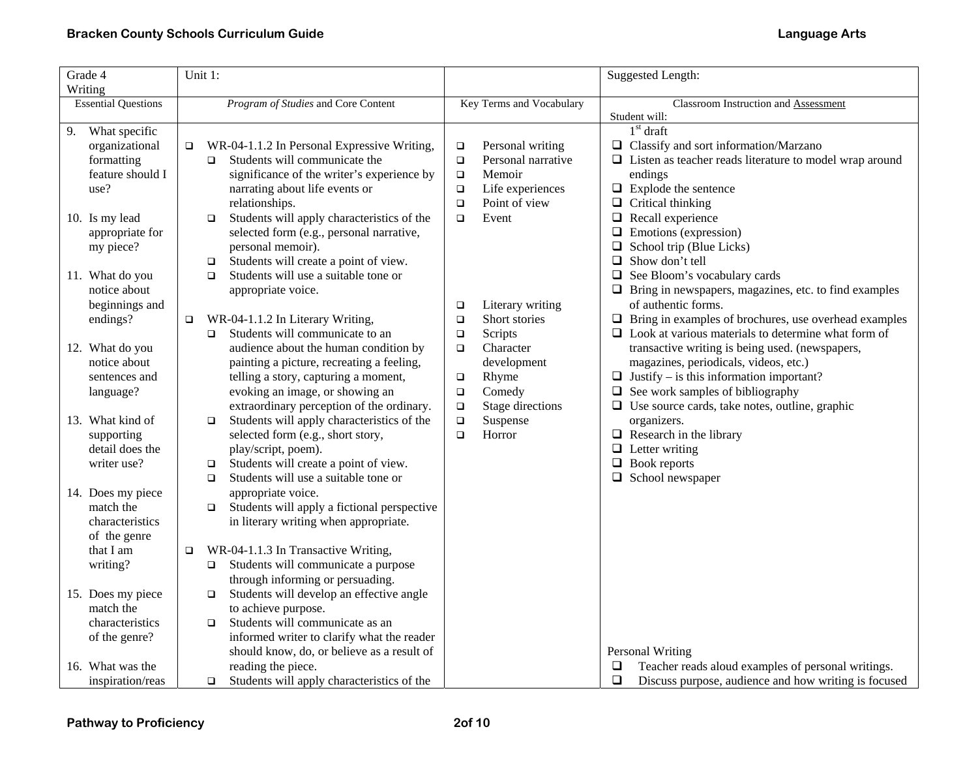| Grade 4                    | Unit 1: |                                             |        |                          | <b>Suggested Length:</b>                                       |
|----------------------------|---------|---------------------------------------------|--------|--------------------------|----------------------------------------------------------------|
| Writing                    |         |                                             |        |                          |                                                                |
| <b>Essential Questions</b> |         | Program of Studies and Core Content         |        | Key Terms and Vocabulary | Classroom Instruction and Assessment                           |
|                            |         |                                             |        |                          | Student will:                                                  |
| 9. What specific           |         |                                             |        |                          | $1st$ draft                                                    |
| organizational             | $\Box$  | WR-04-1.1.2 In Personal Expressive Writing, | $\Box$ | Personal writing         | $\Box$ Classify and sort information/Marzano                   |
| formatting                 | $\Box$  | Students will communicate the               | $\Box$ | Personal narrative       | $\Box$ Listen as teacher reads literature to model wrap around |
| feature should I           |         | significance of the writer's experience by  | $\Box$ | Memoir                   | endings                                                        |
| use?                       |         | narrating about life events or              | $\Box$ | Life experiences         | $\Box$ Explode the sentence                                    |
|                            |         | relationships.                              | $\Box$ | Point of view            | $\Box$ Critical thinking                                       |
| 10. Is my lead             | $\Box$  | Students will apply characteristics of the  | $\Box$ | Event                    | $\Box$ Recall experience                                       |
| appropriate for            |         | selected form (e.g., personal narrative,    |        |                          | $\Box$ Emotions (expression)                                   |
| my piece?                  |         | personal memoir).                           |        |                          | $\Box$ School trip (Blue Licks)                                |
|                            | $\Box$  | Students will create a point of view.       |        |                          | $\Box$ Show don't tell                                         |
| 11. What do you            | $\Box$  | Students will use a suitable tone or        |        |                          | $\Box$ See Bloom's vocabulary cards                            |
| notice about               |         | appropriate voice.                          |        |                          | $\Box$ Bring in newspapers, magazines, etc. to find examples   |
| beginnings and             |         |                                             | $\Box$ | Literary writing         | of authentic forms.                                            |
| endings?                   | $\Box$  | WR-04-1.1.2 In Literary Writing,            | $\Box$ | Short stories            | $\Box$ Bring in examples of brochures, use overhead examples   |
|                            | $\Box$  | Students will communicate to an             | $\Box$ | Scripts                  | $\Box$ Look at various materials to determine what form of     |
| 12. What do you            |         | audience about the human condition by       | $\Box$ | Character                | transactive writing is being used. (newspapers,                |
| notice about               |         | painting a picture, recreating a feeling,   |        | development              | magazines, periodicals, videos, etc.)                          |
| sentences and              |         | telling a story, capturing a moment,        | $\Box$ | Rhyme                    | $\Box$ Justify – is this information important?                |
| language?                  |         | evoking an image, or showing an             | $\Box$ | Comedy                   | $\Box$ See work samples of bibliography                        |
|                            |         | extraordinary perception of the ordinary.   | $\Box$ | Stage directions         | $\Box$ Use source cards, take notes, outline, graphic          |
| 13. What kind of           | $\Box$  | Students will apply characteristics of the  | $\Box$ | Suspense                 | organizers.                                                    |
| supporting                 |         | selected form (e.g., short story,           | $\Box$ | Horror                   | $\Box$ Research in the library                                 |
| detail does the            |         | play/script, poem).                         |        |                          | $\Box$ Letter writing                                          |
| writer use?                | $\Box$  | Students will create a point of view.       |        |                          | $\Box$ Book reports                                            |
|                            | $\Box$  | Students will use a suitable tone or        |        |                          | $\Box$ School newspaper                                        |
| 14. Does my piece          |         | appropriate voice.                          |        |                          |                                                                |
| match the                  | $\Box$  | Students will apply a fictional perspective |        |                          |                                                                |
| characteristics            |         | in literary writing when appropriate.       |        |                          |                                                                |
| of the genre               |         |                                             |        |                          |                                                                |
| that I am                  | $\Box$  | WR-04-1.1.3 In Transactive Writing,         |        |                          |                                                                |
| writing?                   | $\Box$  | Students will communicate a purpose         |        |                          |                                                                |
|                            |         | through informing or persuading.            |        |                          |                                                                |
| 15. Does my piece          | $\Box$  | Students will develop an effective angle    |        |                          |                                                                |
| match the                  |         | to achieve purpose.                         |        |                          |                                                                |
| characteristics            | $\Box$  | Students will communicate as an             |        |                          |                                                                |
| of the genre?              |         | informed writer to clarify what the reader  |        |                          |                                                                |
|                            |         | should know, do, or believe as a result of  |        |                          | Personal Writing                                               |
| 16. What was the           |         | reading the piece.                          |        |                          | Teacher reads aloud examples of personal writings.<br>❏        |
| inspiration/reas           | $\Box$  | Students will apply characteristics of the  |        |                          | $\Box$<br>Discuss purpose, audience and how writing is focused |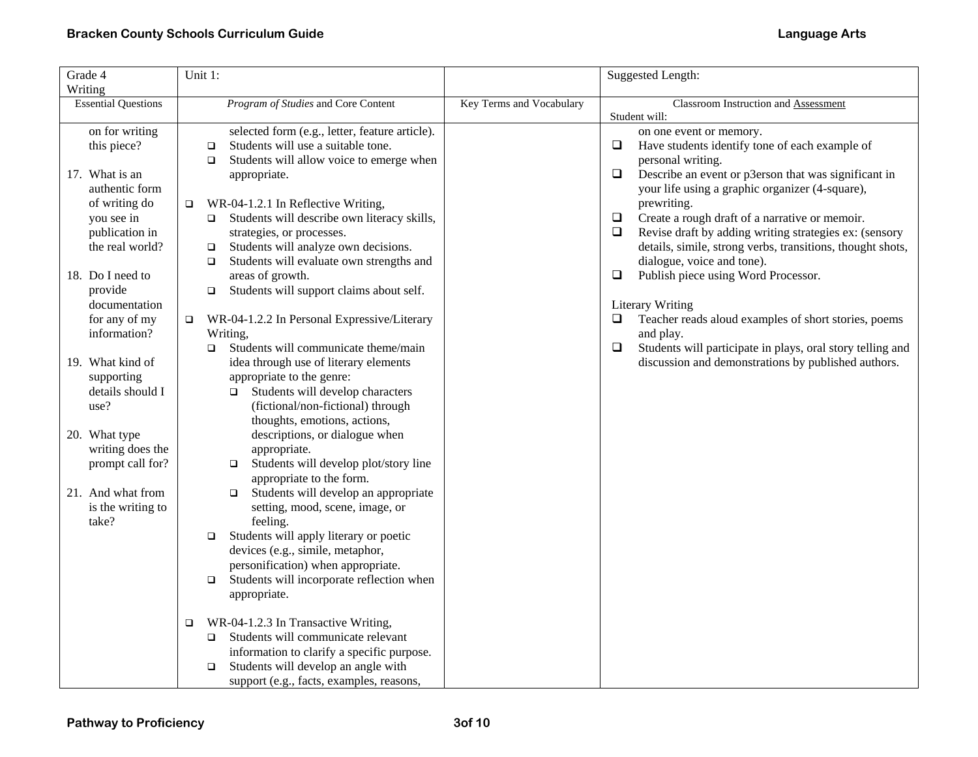| Grade 4                    | Unit 1:                                               |                          | <b>Suggested Length:</b>                                             |
|----------------------------|-------------------------------------------------------|--------------------------|----------------------------------------------------------------------|
| Writing                    |                                                       |                          |                                                                      |
| <b>Essential Questions</b> | Program of Studies and Core Content                   | Key Terms and Vocabulary | Classroom Instruction and Assessment                                 |
|                            |                                                       |                          | Student will:                                                        |
| on for writing             | selected form (e.g., letter, feature article).        |                          | on one event or memory.                                              |
| this piece?                | Students will use a suitable tone.<br>$\Box$          |                          | $\Box$<br>Have students identify tone of each example of             |
|                            | Students will allow voice to emerge when<br>$\Box$    |                          | personal writing.                                                    |
| 17. What is an             | appropriate.                                          |                          | $\Box$<br>Describe an event or p3erson that was significant in       |
| authentic form             |                                                       |                          | your life using a graphic organizer (4-square),                      |
| of writing do              | WR-04-1.2.1 In Reflective Writing,<br>$\Box$          |                          | prewriting.                                                          |
| you see in                 | Students will describe own literacy skills,<br>$\Box$ |                          | $\Box$<br>Create a rough draft of a narrative or memoir.             |
| publication in             | strategies, or processes.                             |                          | Revise draft by adding writing strategies ex: (sensory<br>$\Box$     |
| the real world?            | Students will analyze own decisions.<br>$\Box$        |                          | details, simile, strong verbs, transitions, thought shots,           |
|                            | Students will evaluate own strengths and<br>$\Box$    |                          | dialogue, voice and tone).                                           |
| 18. Do I need to           | areas of growth.                                      |                          | $\Box$<br>Publish piece using Word Processor.                        |
| provide                    | Students will support claims about self.<br>$\Box$    |                          |                                                                      |
| documentation              |                                                       |                          | <b>Literary Writing</b>                                              |
| for any of my              | WR-04-1.2.2 In Personal Expressive/Literary<br>$\Box$ |                          | $\Box$<br>Teacher reads aloud examples of short stories, poems       |
| information?               | Writing,                                              |                          | and play.                                                            |
|                            | Students will communicate theme/main<br>$\Box$        |                          | Students will participate in plays, oral story telling and<br>$\Box$ |
| 19. What kind of           | idea through use of literary elements                 |                          | discussion and demonstrations by published authors.                  |
| supporting                 | appropriate to the genre:                             |                          |                                                                      |
| details should I           | Students will develop characters<br>$\Box$            |                          |                                                                      |
| use?                       | (fictional/non-fictional) through                     |                          |                                                                      |
|                            | thoughts, emotions, actions,                          |                          |                                                                      |
| 20. What type              | descriptions, or dialogue when                        |                          |                                                                      |
| writing does the           | appropriate.                                          |                          |                                                                      |
| prompt call for?           | Students will develop plot/story line<br>$\Box$       |                          |                                                                      |
|                            | appropriate to the form.                              |                          |                                                                      |
| 21. And what from          | Students will develop an appropriate<br>$\Box$        |                          |                                                                      |
| is the writing to          | setting, mood, scene, image, or                       |                          |                                                                      |
| take?                      | feeling.                                              |                          |                                                                      |
|                            | Students will apply literary or poetic<br>$\Box$      |                          |                                                                      |
|                            | devices (e.g., simile, metaphor,                      |                          |                                                                      |
|                            | personification) when appropriate.                    |                          |                                                                      |
|                            | Students will incorporate reflection when<br>$\Box$   |                          |                                                                      |
|                            | appropriate.                                          |                          |                                                                      |
|                            | WR-04-1.2.3 In Transactive Writing,<br>$\Box$         |                          |                                                                      |
|                            | Students will communicate relevant<br>$\Box$          |                          |                                                                      |
|                            | information to clarify a specific purpose.            |                          |                                                                      |
|                            | Students will develop an angle with<br>$\Box$         |                          |                                                                      |
|                            | support (e.g., facts, examples, reasons,              |                          |                                                                      |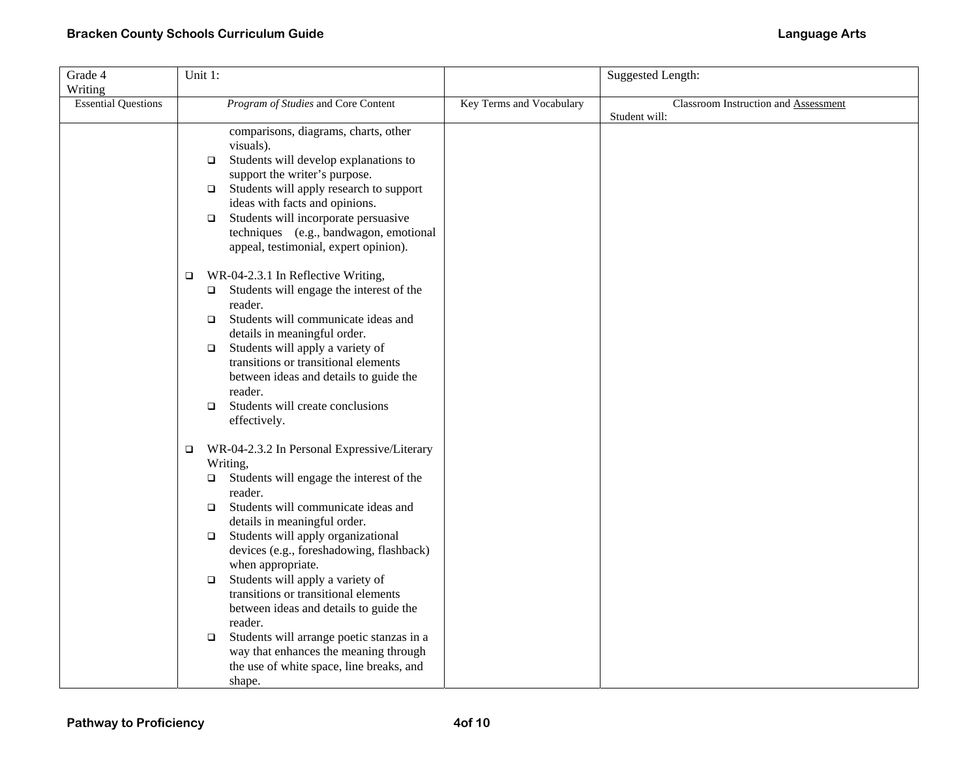| Grade 4                    | Unit 1:                                               |                          | <b>Suggested Length:</b>             |
|----------------------------|-------------------------------------------------------|--------------------------|--------------------------------------|
| Writing                    |                                                       |                          |                                      |
| <b>Essential Questions</b> | Program of Studies and Core Content                   | Key Terms and Vocabulary | Classroom Instruction and Assessment |
|                            |                                                       |                          | Student will:                        |
|                            | comparisons, diagrams, charts, other                  |                          |                                      |
|                            | visuals).                                             |                          |                                      |
|                            | Students will develop explanations to<br>$\Box$       |                          |                                      |
|                            | support the writer's purpose.                         |                          |                                      |
|                            | $\Box$ Students will apply research to support        |                          |                                      |
|                            | ideas with facts and opinions.                        |                          |                                      |
|                            | Students will incorporate persuasive<br>$\Box$        |                          |                                      |
|                            | techniques (e.g., bandwagon, emotional                |                          |                                      |
|                            | appeal, testimonial, expert opinion).                 |                          |                                      |
|                            | WR-04-2.3.1 In Reflective Writing,<br>$\Box$          |                          |                                      |
|                            | Students will engage the interest of the<br>$\Box$    |                          |                                      |
|                            | reader.                                               |                          |                                      |
|                            | Students will communicate ideas and<br>$\Box$         |                          |                                      |
|                            | details in meaningful order.                          |                          |                                      |
|                            | Students will apply a variety of<br>$\Box$            |                          |                                      |
|                            | transitions or transitional elements                  |                          |                                      |
|                            | between ideas and details to guide the                |                          |                                      |
|                            | reader.                                               |                          |                                      |
|                            | Students will create conclusions<br>$\Box$            |                          |                                      |
|                            | effectively.                                          |                          |                                      |
|                            | WR-04-2.3.2 In Personal Expressive/Literary<br>$\Box$ |                          |                                      |
|                            | Writing,                                              |                          |                                      |
|                            | Students will engage the interest of the<br>$\Box$    |                          |                                      |
|                            | reader.                                               |                          |                                      |
|                            | Students will communicate ideas and<br>$\Box$         |                          |                                      |
|                            | details in meaningful order.                          |                          |                                      |
|                            | Students will apply organizational<br>$\Box$          |                          |                                      |
|                            | devices (e.g., foreshadowing, flashback)              |                          |                                      |
|                            | when appropriate.                                     |                          |                                      |
|                            | Students will apply a variety of<br>$\Box$            |                          |                                      |
|                            | transitions or transitional elements                  |                          |                                      |
|                            | between ideas and details to guide the                |                          |                                      |
|                            | reader.                                               |                          |                                      |
|                            | Students will arrange poetic stanzas in a<br>$\Box$   |                          |                                      |
|                            | way that enhances the meaning through                 |                          |                                      |
|                            | the use of white space, line breaks, and              |                          |                                      |
|                            | shape.                                                |                          |                                      |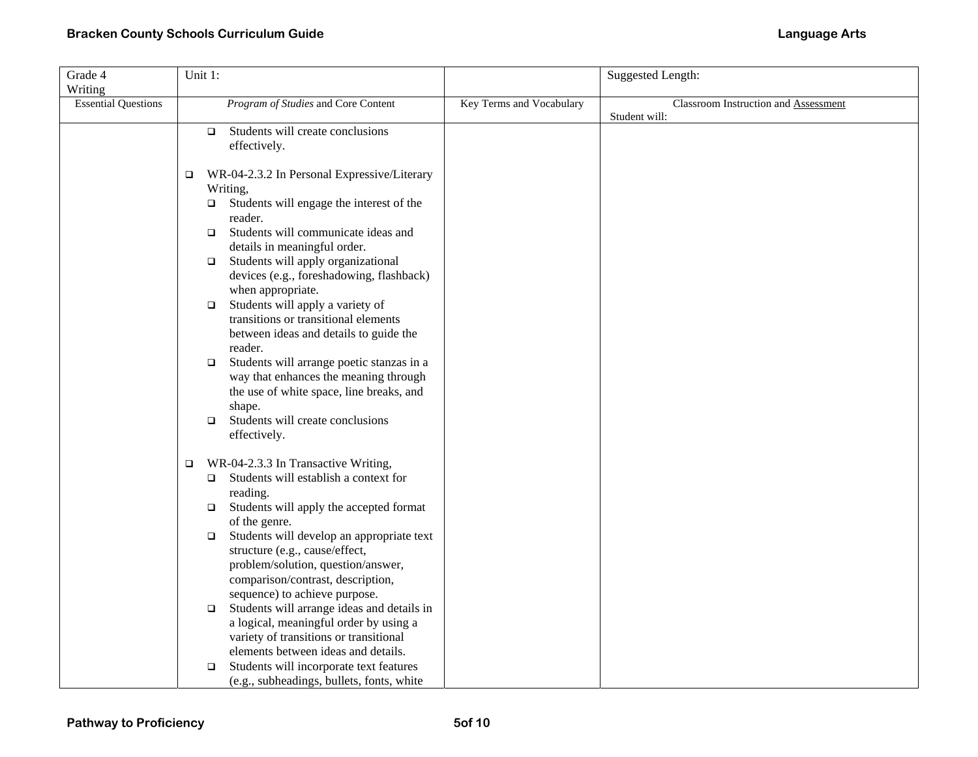| Grade 4                    | Unit 1:                                                                          |                          | <b>Suggested Length:</b>             |
|----------------------------|----------------------------------------------------------------------------------|--------------------------|--------------------------------------|
| Writing                    |                                                                                  |                          |                                      |
| <b>Essential Questions</b> | Program of Studies and Core Content                                              | Key Terms and Vocabulary | Classroom Instruction and Assessment |
|                            |                                                                                  |                          | Student will:                        |
|                            | Students will create conclusions<br>$\Box$                                       |                          |                                      |
|                            | effectively.                                                                     |                          |                                      |
|                            |                                                                                  |                          |                                      |
|                            | WR-04-2.3.2 In Personal Expressive/Literary<br>$\Box$                            |                          |                                      |
|                            | Writing,                                                                         |                          |                                      |
|                            | Students will engage the interest of the<br>□                                    |                          |                                      |
|                            | reader.<br>Students will communicate ideas and                                   |                          |                                      |
|                            | $\Box$<br>details in meaningful order.                                           |                          |                                      |
|                            | Students will apply organizational<br>$\Box$                                     |                          |                                      |
|                            | devices (e.g., foreshadowing, flashback)                                         |                          |                                      |
|                            | when appropriate.                                                                |                          |                                      |
|                            | Students will apply a variety of<br>$\Box$                                       |                          |                                      |
|                            | transitions or transitional elements                                             |                          |                                      |
|                            | between ideas and details to guide the                                           |                          |                                      |
|                            | reader.                                                                          |                          |                                      |
|                            | Students will arrange poetic stanzas in a<br>$\Box$                              |                          |                                      |
|                            | way that enhances the meaning through                                            |                          |                                      |
|                            | the use of white space, line breaks, and                                         |                          |                                      |
|                            | shape.                                                                           |                          |                                      |
|                            | Students will create conclusions<br>$\Box$                                       |                          |                                      |
|                            | effectively.                                                                     |                          |                                      |
|                            | WR-04-2.3.3 In Transactive Writing,<br>$\Box$                                    |                          |                                      |
|                            | Students will establish a context for<br>$\Box$                                  |                          |                                      |
|                            | reading.                                                                         |                          |                                      |
|                            | Students will apply the accepted format<br>$\Box$                                |                          |                                      |
|                            | of the genre.                                                                    |                          |                                      |
|                            | Students will develop an appropriate text<br>$\Box$                              |                          |                                      |
|                            | structure (e.g., cause/effect,                                                   |                          |                                      |
|                            | problem/solution, question/answer,                                               |                          |                                      |
|                            | comparison/contrast, description,                                                |                          |                                      |
|                            | sequence) to achieve purpose.                                                    |                          |                                      |
|                            | Students will arrange ideas and details in<br>$\Box$                             |                          |                                      |
|                            | a logical, meaningful order by using a<br>variety of transitions or transitional |                          |                                      |
|                            | elements between ideas and details.                                              |                          |                                      |
|                            | Students will incorporate text features<br>$\Box$                                |                          |                                      |
|                            | (e.g., subheadings, bullets, fonts, white                                        |                          |                                      |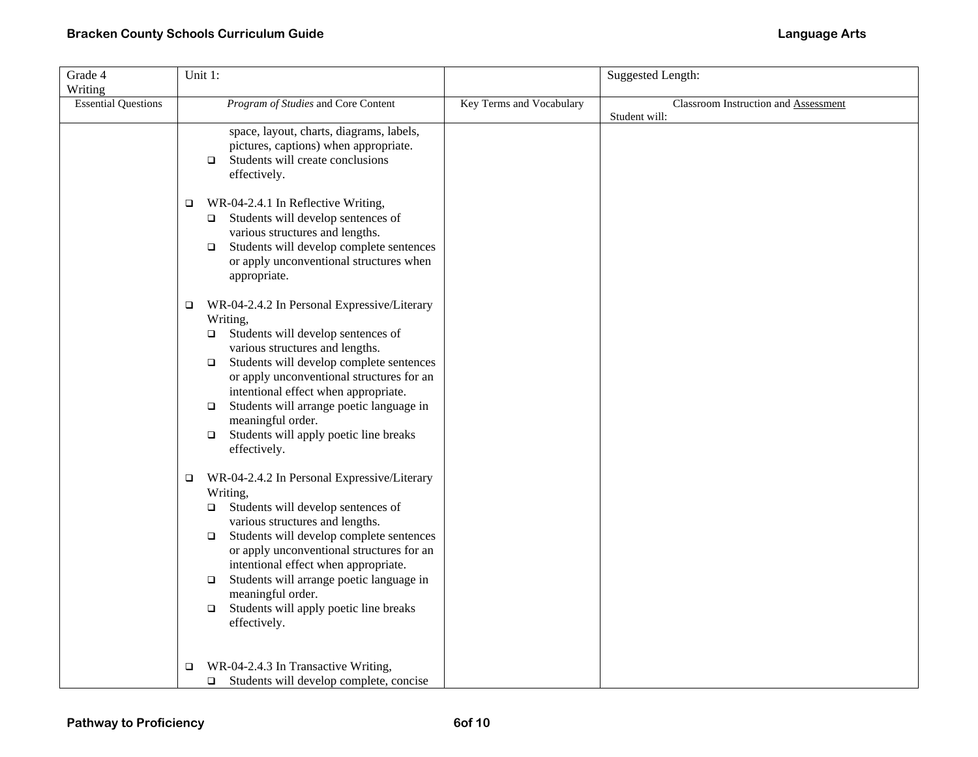| Grade 4                    | Unit 1:                                                                                                                                                                                                                                                                                                                                                                                                                                        |                          | <b>Suggested Length:</b>                              |
|----------------------------|------------------------------------------------------------------------------------------------------------------------------------------------------------------------------------------------------------------------------------------------------------------------------------------------------------------------------------------------------------------------------------------------------------------------------------------------|--------------------------|-------------------------------------------------------|
| Writing                    |                                                                                                                                                                                                                                                                                                                                                                                                                                                |                          |                                                       |
| <b>Essential Questions</b> | Program of Studies and Core Content                                                                                                                                                                                                                                                                                                                                                                                                            | Key Terms and Vocabulary | Classroom Instruction and Assessment<br>Student will: |
|                            | space, layout, charts, diagrams, labels,<br>pictures, captions) when appropriate.<br>Students will create conclusions<br>$\Box$<br>effectively.<br>WR-04-2.4.1 In Reflective Writing,<br>$\Box$<br>Students will develop sentences of<br>$\Box$<br>various structures and lengths.                                                                                                                                                             |                          |                                                       |
|                            | Students will develop complete sentences<br>$\Box$<br>or apply unconventional structures when<br>appropriate.                                                                                                                                                                                                                                                                                                                                  |                          |                                                       |
|                            | WR-04-2.4.2 In Personal Expressive/Literary<br>$\Box$<br>Writing,<br>Students will develop sentences of<br>$\Box$<br>various structures and lengths.<br>Students will develop complete sentences<br>$\Box$<br>or apply unconventional structures for an<br>intentional effect when appropriate.<br>Students will arrange poetic language in<br>$\Box$<br>meaningful order.<br>Students will apply poetic line breaks<br>$\Box$<br>effectively. |                          |                                                       |
|                            | WR-04-2.4.2 In Personal Expressive/Literary<br>$\Box$<br>Writing,<br>Students will develop sentences of<br>$\Box$<br>various structures and lengths.<br>Students will develop complete sentences<br>$\Box$<br>or apply unconventional structures for an<br>intentional effect when appropriate.<br>Students will arrange poetic language in<br>$\Box$<br>meaningful order.<br>Students will apply poetic line breaks<br>$\Box$<br>effectively. |                          |                                                       |
|                            | WR-04-2.4.3 In Transactive Writing,<br>□<br>$\Box$ Students will develop complete, concise                                                                                                                                                                                                                                                                                                                                                     |                          |                                                       |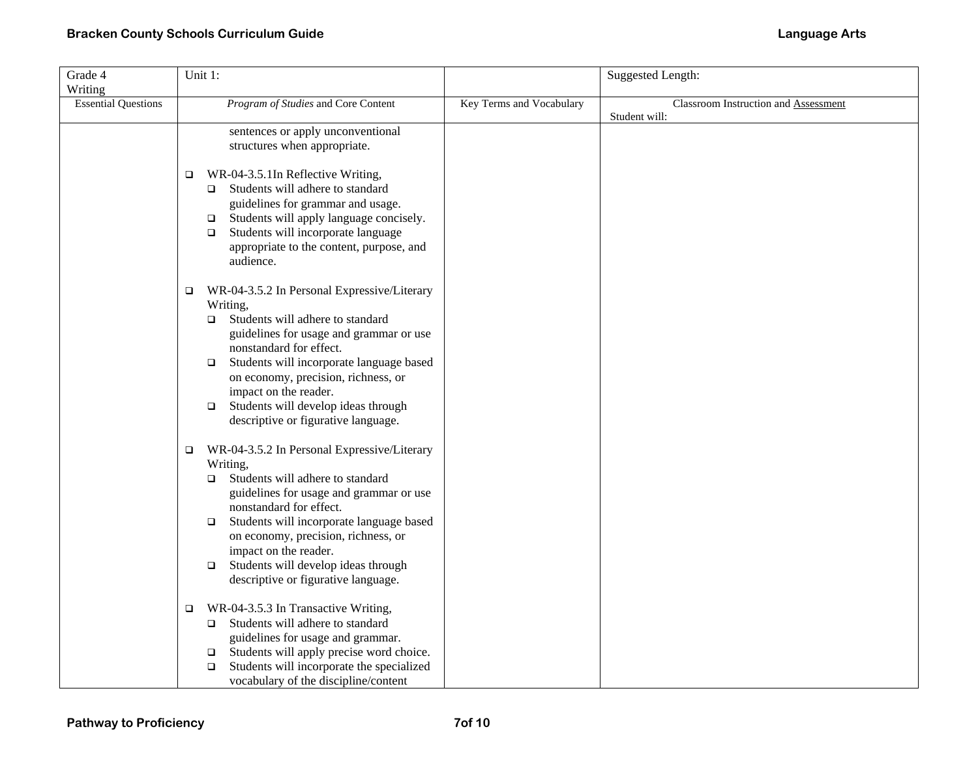| Grade 4                    | Unit 1:                                                                                                                                                                                                                                                                                                                                                                                             |                          | <b>Suggested Length:</b>                              |
|----------------------------|-----------------------------------------------------------------------------------------------------------------------------------------------------------------------------------------------------------------------------------------------------------------------------------------------------------------------------------------------------------------------------------------------------|--------------------------|-------------------------------------------------------|
| Writing                    |                                                                                                                                                                                                                                                                                                                                                                                                     |                          |                                                       |
| <b>Essential Questions</b> | Program of Studies and Core Content                                                                                                                                                                                                                                                                                                                                                                 | Key Terms and Vocabulary | Classroom Instruction and Assessment<br>Student will: |
|                            | sentences or apply unconventional<br>structures when appropriate.                                                                                                                                                                                                                                                                                                                                   |                          |                                                       |
|                            | WR-04-3.5.1In Reflective Writing,<br>□<br>$\Box$ Students will adhere to standard<br>guidelines for grammar and usage.<br>Students will apply language concisely.<br>$\Box$<br>Students will incorporate language<br>$\Box$<br>appropriate to the content, purpose, and<br>audience.                                                                                                                |                          |                                                       |
|                            | WR-04-3.5.2 In Personal Expressive/Literary<br>□<br>Writing,<br>Students will adhere to standard<br>$\Box$<br>guidelines for usage and grammar or use<br>nonstandard for effect.<br>Students will incorporate language based<br>$\Box$<br>on economy, precision, richness, or<br>impact on the reader.<br>Students will develop ideas through<br>$\Box$<br>descriptive or figurative language.      |                          |                                                       |
|                            | WR-04-3.5.2 In Personal Expressive/Literary<br>$\Box$<br>Writing,<br>Students will adhere to standard<br>$\Box$<br>guidelines for usage and grammar or use<br>nonstandard for effect.<br>Students will incorporate language based<br>$\Box$<br>on economy, precision, richness, or<br>impact on the reader.<br>Students will develop ideas through<br>$\Box$<br>descriptive or figurative language. |                          |                                                       |
|                            | WR-04-3.5.3 In Transactive Writing,<br>$\Box$<br>Students will adhere to standard<br>guidelines for usage and grammar.<br>Students will apply precise word choice.<br>$\Box$<br>Students will incorporate the specialized<br>$\Box$<br>vocabulary of the discipline/content                                                                                                                         |                          |                                                       |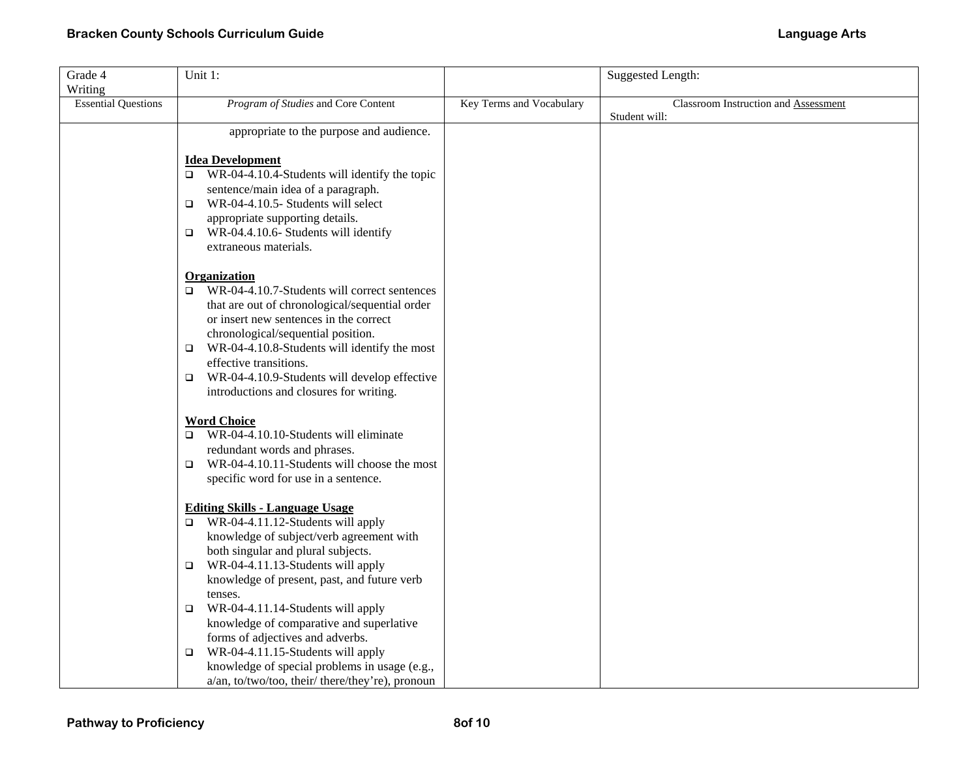| Grade 4                    | Unit 1:                                                                                                                                                                                                                                                                                                                        |                          | <b>Suggested Length:</b>             |
|----------------------------|--------------------------------------------------------------------------------------------------------------------------------------------------------------------------------------------------------------------------------------------------------------------------------------------------------------------------------|--------------------------|--------------------------------------|
| Writing                    |                                                                                                                                                                                                                                                                                                                                |                          |                                      |
| <b>Essential Questions</b> | Program of Studies and Core Content                                                                                                                                                                                                                                                                                            | Key Terms and Vocabulary | Classroom Instruction and Assessment |
|                            |                                                                                                                                                                                                                                                                                                                                |                          | Student will:                        |
|                            | appropriate to the purpose and audience.                                                                                                                                                                                                                                                                                       |                          |                                      |
|                            |                                                                                                                                                                                                                                                                                                                                |                          |                                      |
|                            | <b>Idea Development</b>                                                                                                                                                                                                                                                                                                        |                          |                                      |
|                            | WR-04-4.10.4-Students will identify the topic<br>$\Box$                                                                                                                                                                                                                                                                        |                          |                                      |
|                            | sentence/main idea of a paragraph.<br>WR-04-4.10.5- Students will select<br>$\Box$                                                                                                                                                                                                                                             |                          |                                      |
|                            | appropriate supporting details.                                                                                                                                                                                                                                                                                                |                          |                                      |
|                            | $\Box$ WR-04.4.10.6- Students will identify                                                                                                                                                                                                                                                                                    |                          |                                      |
|                            | extraneous materials.                                                                                                                                                                                                                                                                                                          |                          |                                      |
|                            |                                                                                                                                                                                                                                                                                                                                |                          |                                      |
|                            | <b>Organization</b>                                                                                                                                                                                                                                                                                                            |                          |                                      |
|                            | WR-04-4.10.7-Students will correct sentences<br>□                                                                                                                                                                                                                                                                              |                          |                                      |
|                            | that are out of chronological/sequential order                                                                                                                                                                                                                                                                                 |                          |                                      |
|                            | or insert new sentences in the correct                                                                                                                                                                                                                                                                                         |                          |                                      |
|                            | chronological/sequential position.                                                                                                                                                                                                                                                                                             |                          |                                      |
|                            | $\Box$ WR-04-4.10.8-Students will identify the most                                                                                                                                                                                                                                                                            |                          |                                      |
|                            | effective transitions.                                                                                                                                                                                                                                                                                                         |                          |                                      |
|                            | WR-04-4.10.9-Students will develop effective<br>o.                                                                                                                                                                                                                                                                             |                          |                                      |
|                            | introductions and closures for writing.                                                                                                                                                                                                                                                                                        |                          |                                      |
|                            | <b>Word Choice</b>                                                                                                                                                                                                                                                                                                             |                          |                                      |
|                            | WR-04-4.10.10-Students will eliminate<br>$\Box$                                                                                                                                                                                                                                                                                |                          |                                      |
|                            | redundant words and phrases.                                                                                                                                                                                                                                                                                                   |                          |                                      |
|                            | WR-04-4.10.11-Students will choose the most<br>$\Box$                                                                                                                                                                                                                                                                          |                          |                                      |
|                            | specific word for use in a sentence.                                                                                                                                                                                                                                                                                           |                          |                                      |
|                            |                                                                                                                                                                                                                                                                                                                                |                          |                                      |
|                            | <b>Editing Skills - Language Usage</b>                                                                                                                                                                                                                                                                                         |                          |                                      |
|                            | WR-04-4.11.12-Students will apply<br>o.                                                                                                                                                                                                                                                                                        |                          |                                      |
|                            | knowledge of subject/verb agreement with                                                                                                                                                                                                                                                                                       |                          |                                      |
|                            | both singular and plural subjects.                                                                                                                                                                                                                                                                                             |                          |                                      |
|                            | $\Box$ WR-04-4.11.13-Students will apply                                                                                                                                                                                                                                                                                       |                          |                                      |
|                            |                                                                                                                                                                                                                                                                                                                                |                          |                                      |
|                            | tenses.                                                                                                                                                                                                                                                                                                                        |                          |                                      |
|                            |                                                                                                                                                                                                                                                                                                                                |                          |                                      |
|                            |                                                                                                                                                                                                                                                                                                                                |                          |                                      |
|                            |                                                                                                                                                                                                                                                                                                                                |                          |                                      |
|                            |                                                                                                                                                                                                                                                                                                                                |                          |                                      |
|                            |                                                                                                                                                                                                                                                                                                                                |                          |                                      |
|                            | knowledge of present, past, and future verb<br>WR-04-4.11.14-Students will apply<br>$\Box$<br>knowledge of comparative and superlative<br>forms of adjectives and adverbs.<br>WR-04-4.11.15-Students will apply<br>$\Box$<br>knowledge of special problems in usage (e.g.,<br>a/an, to/two/too, their/ there/they're), pronoun |                          |                                      |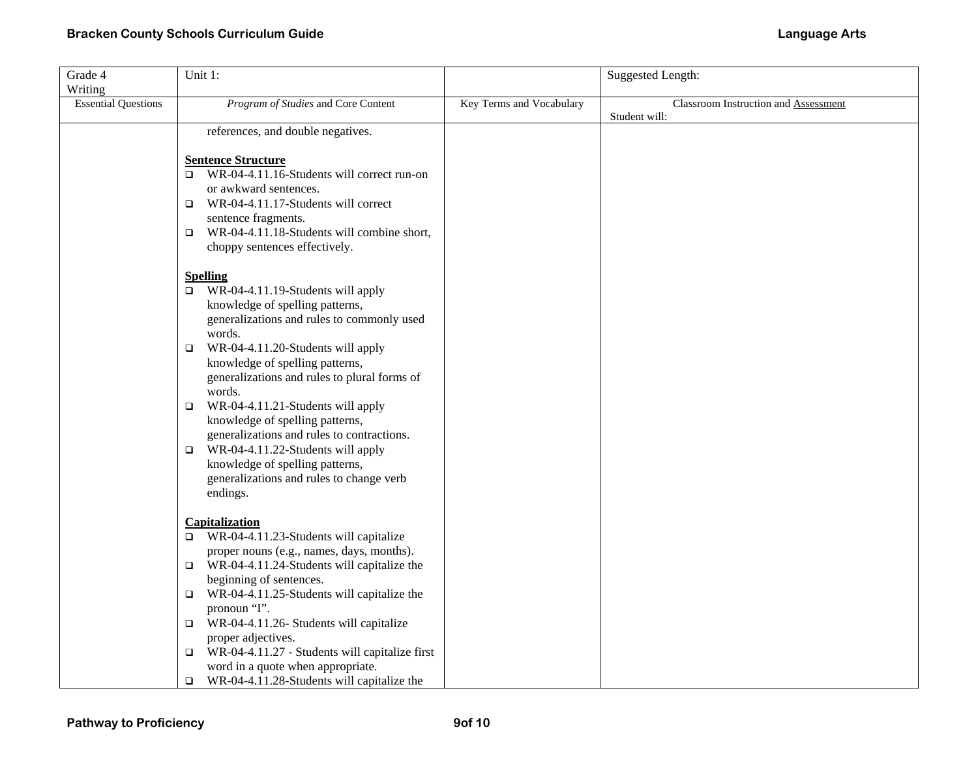| Grade 4                    | Unit 1:                                                                                  |                          | <b>Suggested Length:</b>             |
|----------------------------|------------------------------------------------------------------------------------------|--------------------------|--------------------------------------|
| Writing                    |                                                                                          |                          |                                      |
| <b>Essential Questions</b> | Program of Studies and Core Content                                                      | Key Terms and Vocabulary | Classroom Instruction and Assessment |
|                            |                                                                                          |                          | Student will:                        |
|                            | references, and double negatives.                                                        |                          |                                      |
|                            |                                                                                          |                          |                                      |
|                            | <b>Sentence Structure</b><br>WR-04-4.11.16-Students will correct run-on<br>□             |                          |                                      |
|                            | or awkward sentences.                                                                    |                          |                                      |
|                            | WR-04-4.11.17-Students will correct<br>▫                                                 |                          |                                      |
|                            | sentence fragments.                                                                      |                          |                                      |
|                            | $\Box$ WR-04-4.11.18-Students will combine short,                                        |                          |                                      |
|                            | choppy sentences effectively.                                                            |                          |                                      |
|                            |                                                                                          |                          |                                      |
|                            | <b>Spelling</b>                                                                          |                          |                                      |
|                            | WR-04-4.11.19-Students will apply<br>$\Box$                                              |                          |                                      |
|                            | knowledge of spelling patterns,                                                          |                          |                                      |
|                            | generalizations and rules to commonly used<br>words.                                     |                          |                                      |
|                            | WR-04-4.11.20-Students will apply<br>$\Box$                                              |                          |                                      |
|                            | knowledge of spelling patterns,                                                          |                          |                                      |
|                            | generalizations and rules to plural forms of                                             |                          |                                      |
|                            | words.                                                                                   |                          |                                      |
|                            | WR-04-4.11.21-Students will apply<br>$\Box$                                              |                          |                                      |
|                            | knowledge of spelling patterns,                                                          |                          |                                      |
|                            | generalizations and rules to contractions.                                               |                          |                                      |
|                            | WR-04-4.11.22-Students will apply<br>$\Box$                                              |                          |                                      |
|                            | knowledge of spelling patterns,                                                          |                          |                                      |
|                            | generalizations and rules to change verb                                                 |                          |                                      |
|                            | endings.                                                                                 |                          |                                      |
|                            | Capitalization                                                                           |                          |                                      |
|                            | $\Box$ WR-04-4.11.23-Students will capitalize                                            |                          |                                      |
|                            | proper nouns (e.g., names, days, months).                                                |                          |                                      |
|                            | $\Box$ WR-04-4.11.24-Students will capitalize the                                        |                          |                                      |
|                            | beginning of sentences.                                                                  |                          |                                      |
|                            | WR-04-4.11.25-Students will capitalize the<br>□                                          |                          |                                      |
|                            | pronoun "I".                                                                             |                          |                                      |
|                            | WR-04-4.11.26- Students will capitalize<br>$\Box$                                        |                          |                                      |
|                            | proper adjectives.                                                                       |                          |                                      |
|                            | WR-04-4.11.27 - Students will capitalize first<br>□<br>word in a quote when appropriate. |                          |                                      |
|                            | WR-04-4.11.28-Students will capitalize the<br>$\Box$                                     |                          |                                      |